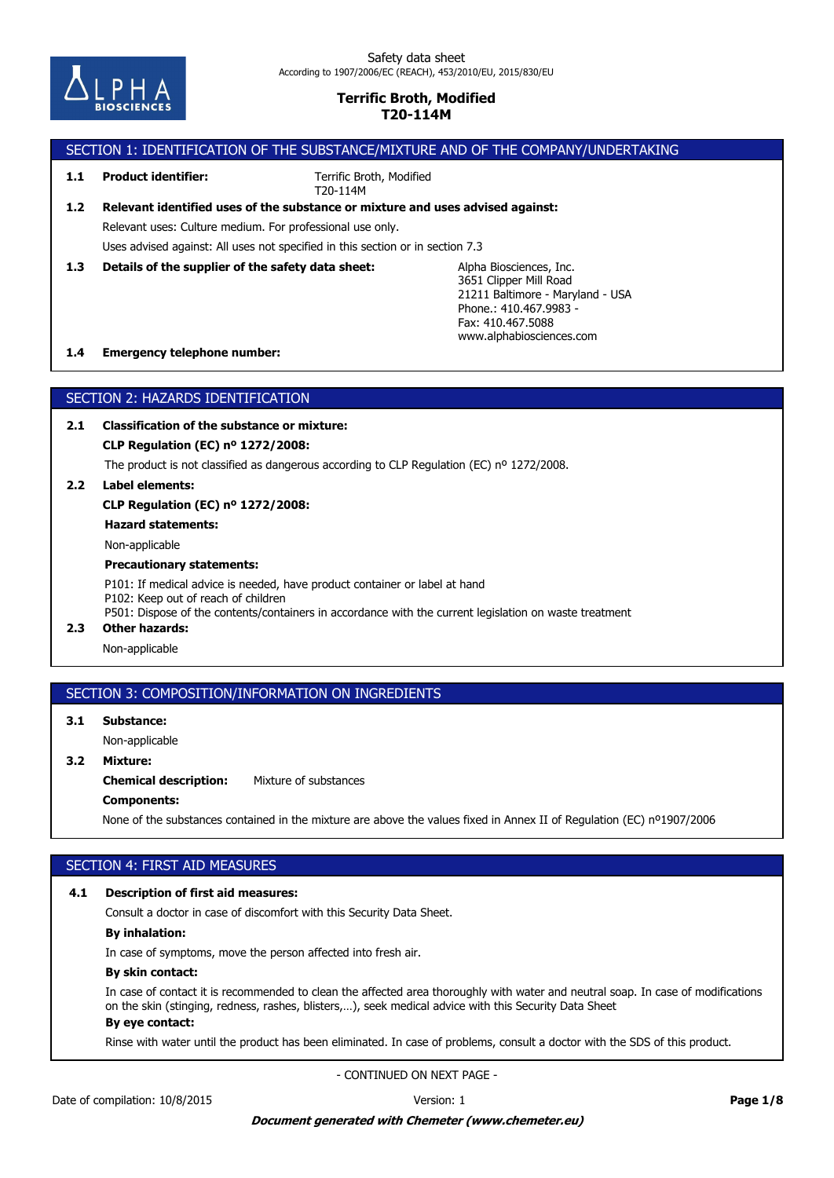

# SECTION 1: IDENTIFICATION OF THE SUBSTANCE/MIXTURE AND OF THE COMPANY/UNDERTAKING

**1.1 Product identifier:**

Terrific Broth, Modified T20-114M

# Relevant uses: Culture medium. For professional use only. **1.2 Relevant identified uses of the substance or mixture and uses advised against:**

Uses advised against: All uses not specified in this section or in section 7.3

**1.3 Details of the supplier of the safety data sheet:**

Alpha Biosciences, Inc. 3651 Clipper Mill Road 21211 Baltimore - Maryland - USA Phone.: 410.467.9983-Fax: 410.467.5088 www.alphabiosciences.com

# **1.4 Emergency telephone number:**

# SECTION 2: HAZARDS IDENTIFICATION

**2.1 Classification of the substance or mixture:**

**CLP Regulation (EC) nº 1272/2008:**

The product is not classified as dangerous according to CLP Regulation (EC) nº 1272/2008.

**2.2 Label elements:**

**CLP Regulation (EC) nº 1272/2008:**

**Hazard statements:**

Non-applicable

### **Precautionary statements:**

P101: If medical advice is needed, have product container or label at hand P102: Keep out of reach of children P501: Dispose of the contents/containers in accordance with the current legislation on waste treatment

**2.3 Other hazards:**

Non-applicable

# SECTION 3: COMPOSITION/INFORMATION ON INGREDIENTS

**3.1 Substance:**

Non-applicable

# **3.2 Mixture:**

**Chemical description:** Mixture of substances

# **Components:**

None of the substances contained in the mixture are above the values fixed in Annex II of Regulation (EC) nº1907/2006

# SECTION 4: FIRST AID MEASURES

## **4.1 Description of first aid measures:**

Consult a doctor in case of discomfort with this Security Data Sheet.

# **By inhalation:**

In case of symptoms, move the person affected into fresh air.

### **By skin contact:**

In case of contact it is recommended to clean the affected area thoroughly with water and neutral soap. In case of modifications on the skin (stinging, redness, rashes, blisters,…), seek medical advice with this Security Data Sheet

# **By eye contact:**

Rinse with water until the product has been eliminated. In case of problems, consult a doctor with the SDS of this product.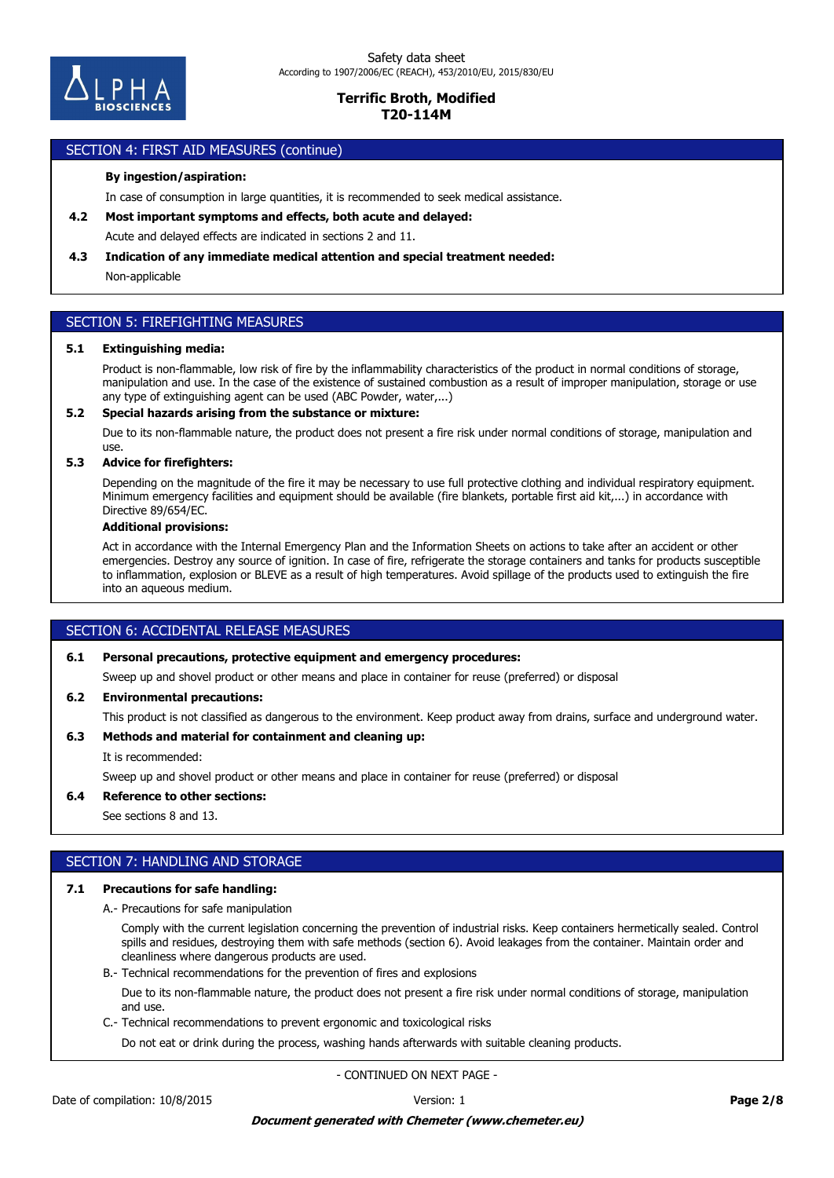

# SECTION 4: FIRST AID MEASURES (continue)

### **By ingestion/aspiration:**

In case of consumption in large quantities, it is recommended to seek medical assistance.

- **4.2 Most important symptoms and effects, both acute and delayed:**
- Acute and delayed effects are indicated in sections 2 and 11.

#### **4.3 Indication of any immediate medical attention and special treatment needed:**

Non-applicable

# SECTION 5: FIREFIGHTING MEASURES

#### **5.1 Extinguishing media:**

Product is non-flammable, low risk of fire by the inflammability characteristics of the product in normal conditions of storage, manipulation and use. In the case of the existence of sustained combustion as a result of improper manipulation, storage or use any type of extinguishing agent can be used (ABC Powder, water,...)

#### **5.2 Special hazards arising from the substance or mixture:**

Due to its non-flammable nature, the product does not present a fire risk under normal conditions of storage, manipulation and use.

### **5.3 Advice for firefighters:**

Depending on the magnitude of the fire it may be necessary to use full protective clothing and individual respiratory equipment. Minimum emergency facilities and equipment should be available (fire blankets, portable first aid kit,...) in accordance with Directive 89/654/EC.

#### **Additional provisions:**

Act in accordance with the Internal Emergency Plan and the Information Sheets on actions to take after an accident or other emergencies. Destroy any source of ignition. In case of fire, refrigerate the storage containers and tanks for products susceptible to inflammation, explosion or BLEVE as a result of high temperatures. Avoid spillage of the products used to extinguish the fire into an aqueous medium.

# SECTION 6: ACCIDENTAL RELEASE MEASURES

# **6.1 Personal precautions, protective equipment and emergency procedures:**

Sweep up and shovel product or other means and place in container for reuse (preferred) or disposal

#### **6.2 Environmental precautions:**

This product is not classified as dangerous to the environment. Keep product away from drains, surface and underground water.

## **6.3 Methods and material for containment and cleaning up:**

It is recommended:

Sweep up and shovel product or other means and place in container for reuse (preferred) or disposal

#### **6.4 Reference to other sections:**

See sections 8 and 13.

# SECTION 7: HANDLING AND STORAGE

#### **7.1 Precautions for safe handling:**

A.- Precautions for safe manipulation

Comply with the current legislation concerning the prevention of industrial risks. Keep containers hermetically sealed. Control spills and residues, destroying them with safe methods (section 6). Avoid leakages from the container. Maintain order and cleanliness where dangerous products are used.

B.- Technical recommendations for the prevention of fires and explosions

Due to its non-flammable nature, the product does not present a fire risk under normal conditions of storage, manipulation and use.

C.- Technical recommendations to prevent ergonomic and toxicological risks

Do not eat or drink during the process, washing hands afterwards with suitable cleaning products.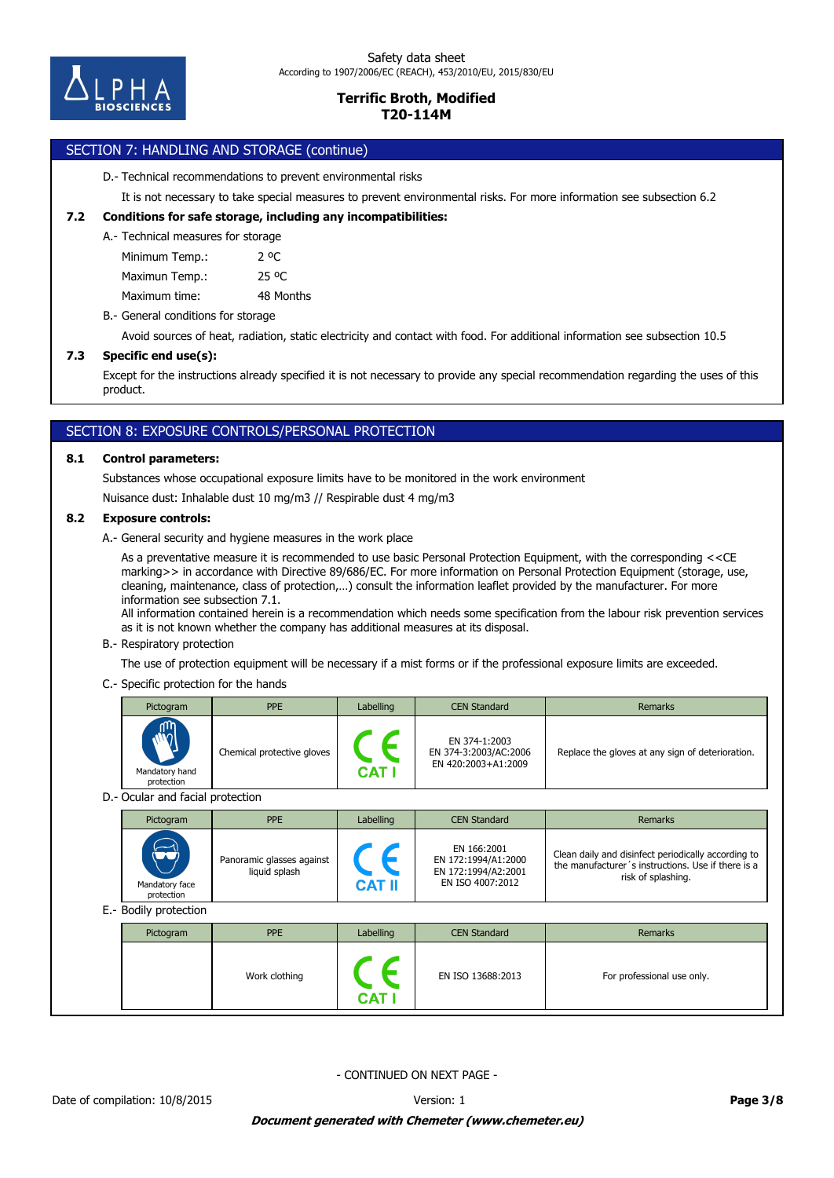

# SECTION 7: HANDLING AND STORAGE (continue)

D.- Technical recommendations to prevent environmental risks

It is not necessary to take special measures to prevent environmental risks. For more information see subsection 6.2

## **7.2 Conditions for safe storage, including any incompatibilities:**

#### A.- Technical measures for storage

Minimum Temp.: 2 °C

Maximun Temp.: 25 °C

Maximum time: 48 Months

B.- General conditions for storage

Avoid sources of heat, radiation, static electricity and contact with food. For additional information see subsection 10.5

# **7.3 Specific end use(s):**

Except for the instructions already specified it is not necessary to provide any special recommendation regarding the uses of this product.

# SECTION 8: EXPOSURE CONTROLS/PERSONAL PROTECTION

### **8.1 Control parameters:**

Substances whose occupational exposure limits have to be monitored in the work environment

Nuisance dust: Inhalable dust 10 mg/m3 // Respirable dust 4 mg/m3

### **8.2 Exposure controls:**

A.- General security and hygiene measures in the work place

As a preventative measure it is recommended to use basic Personal Protection Equipment, with the corresponding <<CE marking>> in accordance with Directive 89/686/EC. For more information on Personal Protection Equipment (storage, use, cleaning, maintenance, class of protection,…) consult the information leaflet provided by the manufacturer. For more information see subsection 7.1.

All information contained herein is a recommendation which needs some specification from the labour risk prevention services as it is not known whether the company has additional measures at its disposal.

#### B.- Respiratory protection

The use of protection equipment will be necessary if a mist forms or if the professional exposure limits are exceeded.

### C.- Specific protection for the hands

|                                  | Pictogram                    | <b>PPE</b>                                 | Labelling                   | <b>CEN Standard</b>                                                           | Remarks                                                                                                                         |  |  |  |  |
|----------------------------------|------------------------------|--------------------------------------------|-----------------------------|-------------------------------------------------------------------------------|---------------------------------------------------------------------------------------------------------------------------------|--|--|--|--|
|                                  | Mandatory hand<br>protection | Chemical protective gloves                 | $\epsilon$<br><b>CAT I</b>  | EN 374-1:2003<br>EN 374-3:2003/AC:2006<br>EN 420:2003+A1:2009                 | Replace the gloves at any sign of deterioration.                                                                                |  |  |  |  |
| D.- Ocular and facial protection |                              |                                            |                             |                                                                               |                                                                                                                                 |  |  |  |  |
|                                  | Pictogram                    | <b>PPE</b>                                 | Labelling                   | <b>CEN Standard</b>                                                           | Remarks                                                                                                                         |  |  |  |  |
|                                  | Mandatory face<br>protection | Panoramic glasses against<br>liquid splash | $\epsilon$<br><b>CAT II</b> | EN 166:2001<br>EN 172:1994/A1:2000<br>EN 172:1994/A2:2001<br>EN ISO 4007:2012 | Clean daily and disinfect periodically according to<br>the manufacturer's instructions. Use if there is a<br>risk of splashing. |  |  |  |  |
|                                  | E.- Bodily protection        |                                            |                             |                                                                               |                                                                                                                                 |  |  |  |  |
|                                  | Pictogram                    | <b>PPE</b>                                 | Labelling                   | <b>CEN Standard</b>                                                           | <b>Remarks</b>                                                                                                                  |  |  |  |  |
|                                  |                              | Work clothing                              |                             | EN ISO 13688:2013                                                             | For professional use only.                                                                                                      |  |  |  |  |

- CONTINUED ON NEXT PAGE -

**CAT I**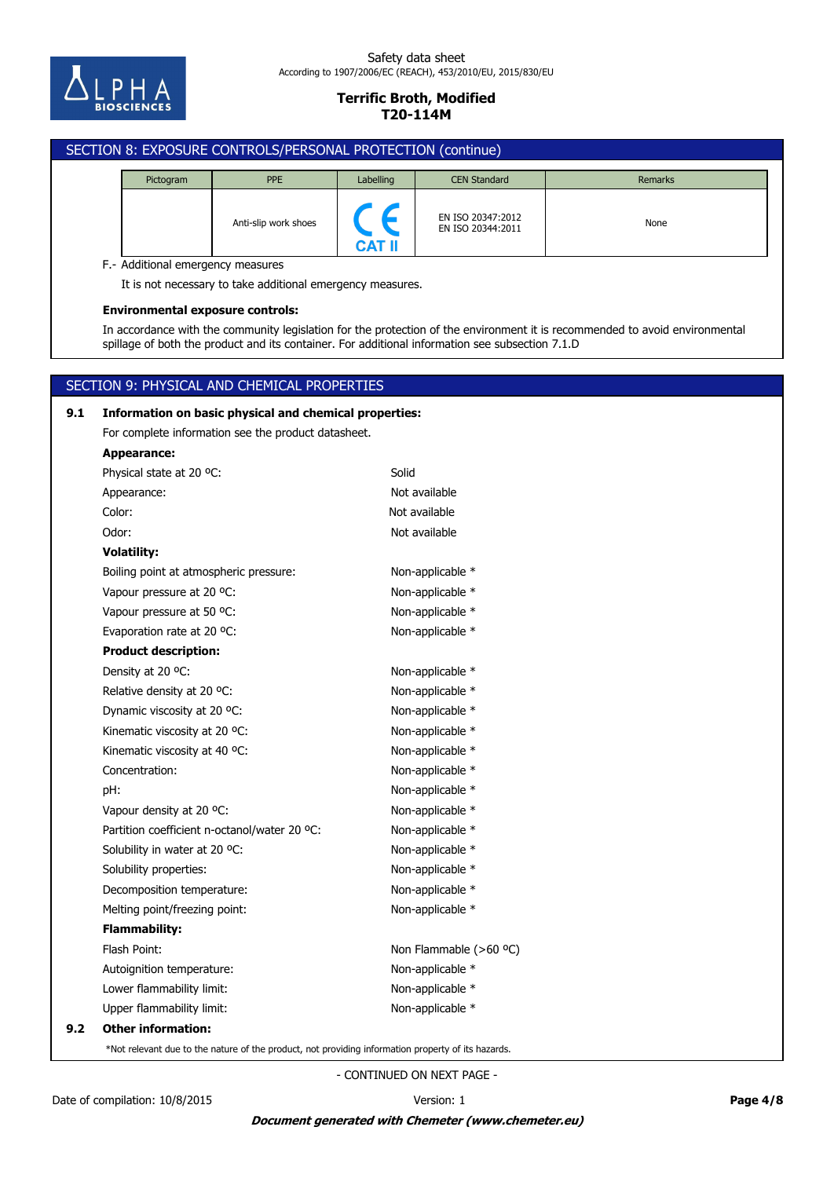

# SECTION 8: EXPOSURE CONTROLS/PERSONAL PROTECTION (continue) Pictogram **PPE** PPE Labelling CEN Standard **Remarks** EN ISO 20347:2012 Anti-slip work shoes<br>EN ISO 20344:2011 **CAT II** F.- Additional emergency measures It is not necessary to take additional emergency measures. **Environmental exposure controls:** In accordance with the community legislation for the protection of the environment it is recommended to avoid environmental spillage of both the product and its container. For additional information see subsection 7.1.D SECTION 9: PHYSICAL AND CHEMICAL PROPERTIES **9.1 Information on basic physical and chemical properties:** For complete information see the product datasheet.

# **9.2 Other information:** Upper flammability limit: Non-applicable \* Lower flammability limit: Non-applicable \* Autoignition temperature: Non-applicable \* Flash Point: The Community of the Non Flammable (>60 °C) **Flammability:** Melting point/freezing point: Non-applicable \* Decomposition temperature: Non-applicable \* Solubility properties: Non-applicable \* Solubility in water at 20 °C: Non-applicable \* Partition coefficient n-octanol/water 20 °C: Non-applicable \* Vapour density at 20 °C: Non-applicable \* pH: Non-applicable \* Concentration: Non-applicable \* Kinematic viscosity at 40 °C:  $\blacksquare$  Non-applicable  $*$ Kinematic viscosity at 20 °C: Non-applicable \* Dynamic viscosity at 20 °C: Non-applicable \* Relative density at 20 °C: Non-applicable \* Density at 20 °C: Non-applicable \* **Product description:** Evaporation rate at 20 °C: Non-applicable \* Vapour pressure at 50 °C: Non-applicable \* Vapour pressure at 20 °C: Non-applicable \* Boiling point at atmospheric pressure: Non-applicable \* **Volatility:** Odor: Not available Color: Not available Appearance: Not available Physical state at 20 °C: Solid **Appearance:**

\*Not relevant due to the nature of the product, not providing information property of its hazards.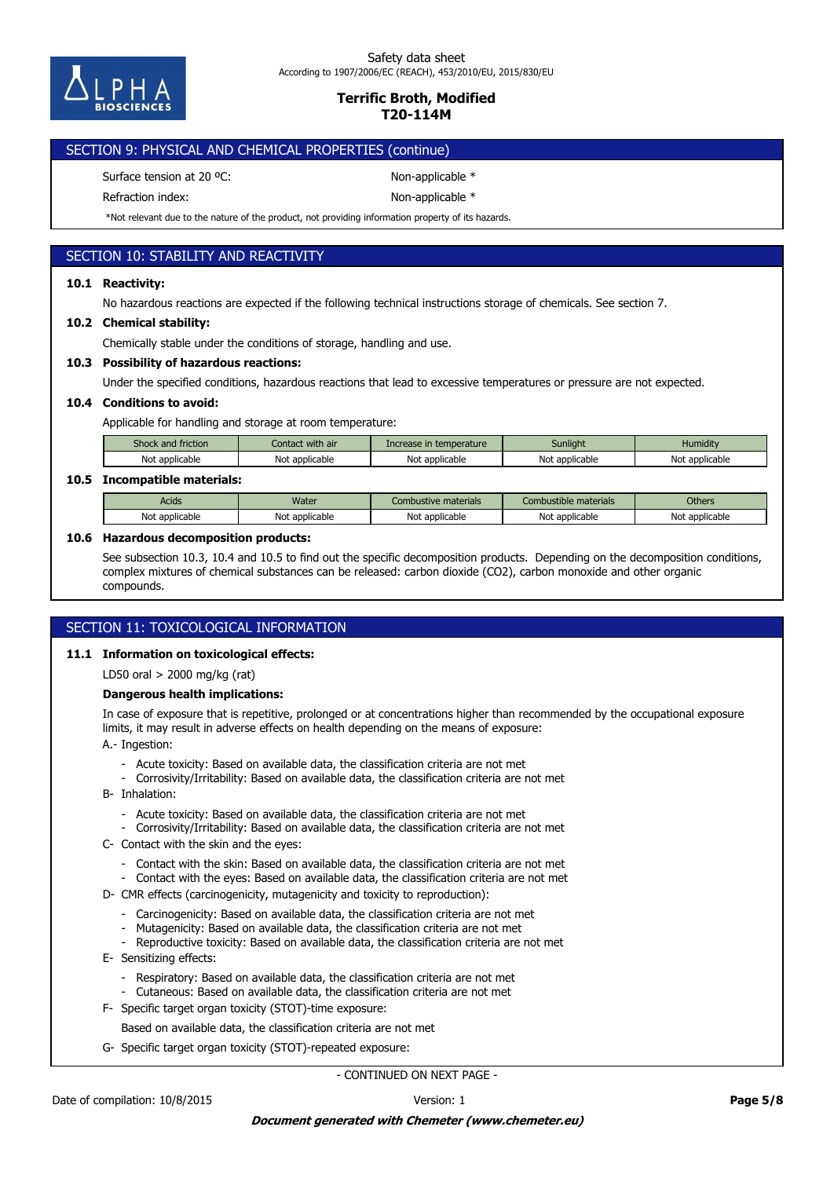

# SECTION 9: PHYSICAL AND CHEMICAL PROPERTIES (continue)

Surface tension at 20 °C: Non-applicable \*

Refraction index: Non-applicable \*

\*Not relevant due to the nature of the product, not providing information property of its hazards.

# SECTION 10: STABILITY AND REACTIVITY

# **10.1 Reactivity:**

No hazardous reactions are expected if the following technical instructions storage of chemicals. See section 7.

### **10.2 Chemical stability:**

Chemically stable under the conditions of storage, handling and use.

### **10.3 Possibility of hazardous reactions:**

Under the specified conditions, hazardous reactions that lead to excessive temperatures or pressure are not expected.

### **10.4 Conditions to avoid:**

Applicable for handling and storage at room temperature:

| Shock and friction | Contact with air | Increase in temperature | Sunliaht       | Humidity       |
|--------------------|------------------|-------------------------|----------------|----------------|
| Not applicable     | Not applicable   | Not<br>: applicable     | Not applicable | Not applicable |

## **10.5 Incompatible materials:**

| Acids                                       | Water             | e materials<br><b>Combustive</b>            | : materials<br>Combustible           | <b>Others</b>  |
|---------------------------------------------|-------------------|---------------------------------------------|--------------------------------------|----------------|
| <b>Not</b><br><sup>.</sup> applicable<br>νv | applicable<br>Not | اصالا<br>: annlicable<br>applicable<br>ושטו | ∼י<br>applicable <sup>.</sup><br>טוי | Not applicable |

### **10.6 Hazardous decomposition products:**

See subsection 10.3, 10.4 and 10.5 to find out the specific decomposition products. Depending on the decomposition conditions, complex mixtures of chemical substances can be released: carbon dioxide (CO2), carbon monoxide and other organic compounds.

# SECTION 11: TOXICOLOGICAL INFORMATION

### **11.1 Information on toxicological effects:**

LD50 oral > 2000 mg/kg (rat)

### **Dangerous health implications:**

In case of exposure that is repetitive, prolonged or at concentrations higher than recommended by the occupational exposure limits, it may result in adverse effects on health depending on the means of exposure:

A.- Ingestion:

- Acute toxicity: Based on available data, the classification criteria are not met
- Corrosivity/Irritability: Based on available data, the classification criteria are not met
- B- Inhalation:
	- Acute toxicity: Based on available data, the classification criteria are not met
	- Corrosivity/Irritability: Based on available data, the classification criteria are not met
- C- Contact with the skin and the eyes:
	- Contact with the skin: Based on available data, the classification criteria are not met
	- Contact with the eyes: Based on available data, the classification criteria are not met
- D- CMR effects (carcinogenicity, mutagenicity and toxicity to reproduction):
	- Carcinogenicity: Based on available data, the classification criteria are not met
	- Mutagenicity: Based on available data, the classification criteria are not met
	- Reproductive toxicity: Based on available data, the classification criteria are not met
- E- Sensitizing effects:
	- Respiratory: Based on available data, the classification criteria are not met
	- Cutaneous: Based on available data, the classification criteria are not met
- F- Specific target organ toxicity (STOT)-time exposure:
	- Based on available data, the classification criteria are not met
- G- Specific target organ toxicity (STOT)-repeated exposure: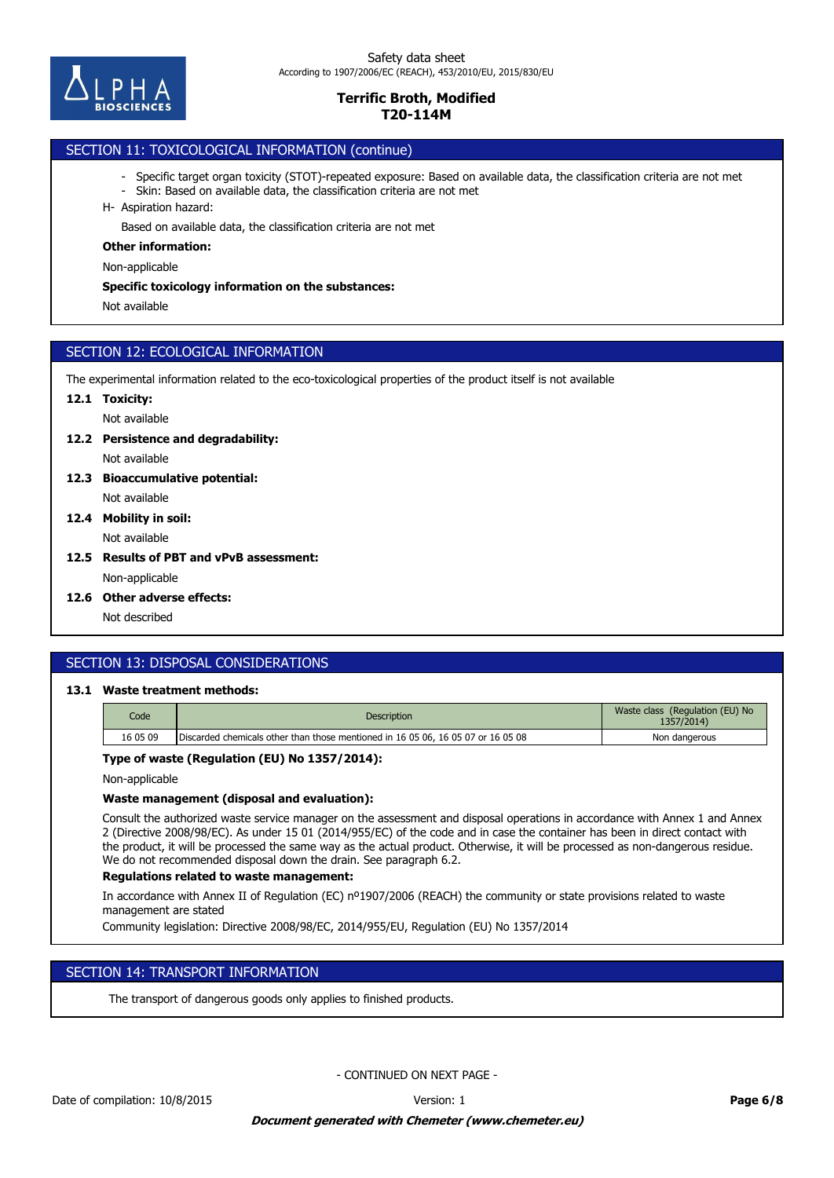

# SECTION 11: TOXICOLOGICAL INFORMATION (continue)

- Specific target organ toxicity (STOT)-repeated exposure: Based on available data, the classification criteria are not met
- Skin: Based on available data, the classification criteria are not met
- H- Aspiration hazard:

Based on available data, the classification criteria are not met

#### **Other information:**

Non-applicable

#### **Specific toxicology information on the substances:**

Not available

# SECTION 12: ECOLOGICAL INFORMATION

The experimental information related to the eco-toxicological properties of the product itself is not available

## **12.1 Toxicity:**

Not available

#### **12.2 Persistence and degradability:**

Not available

- Not available **12.3 Bioaccumulative potential:**
- Not available **12.4 Mobility in soil:**
- **12.5 Results of PBT and vPvB assessment:**

Non-applicable

**12.6 Other adverse effects:**

Not described

# SECTION 13: DISPOSAL CONSIDERATIONS

# **13.1 Waste treatment methods:**

| Code     | <b>Description</b>                                                               | Waste class (Regulation (EU) No<br>1357/2014) |
|----------|----------------------------------------------------------------------------------|-----------------------------------------------|
| 16 05 09 | Discarded chemicals other than those mentioned in 16 05 06, 16 05 07 or 16 05 08 | Non dangerous                                 |

### **Type of waste (Regulation (EU) No 1357/2014):**

Non-applicable

### **Waste management (disposal and evaluation):**

Consult the authorized waste service manager on the assessment and disposal operations in accordance with Annex 1 and Annex 2 (Directive 2008/98/EC). As under 15 01 (2014/955/EC) of the code and in case the container has been in direct contact with the product, it will be processed the same way as the actual product. Otherwise, it will be processed as non-dangerous residue. We do not recommended disposal down the drain. See paragraph 6.2.

### **Regulations related to waste management:**

In accordance with Annex II of Regulation (EC) nº1907/2006 (REACH) the community or state provisions related to waste management are stated

Community legislation: Directive 2008/98/EC, 2014/955/EU, Regulation (EU) No 1357/2014

# SECTION 14: TRANSPORT INFORMATION

The transport of dangerous goods only applies to finished products.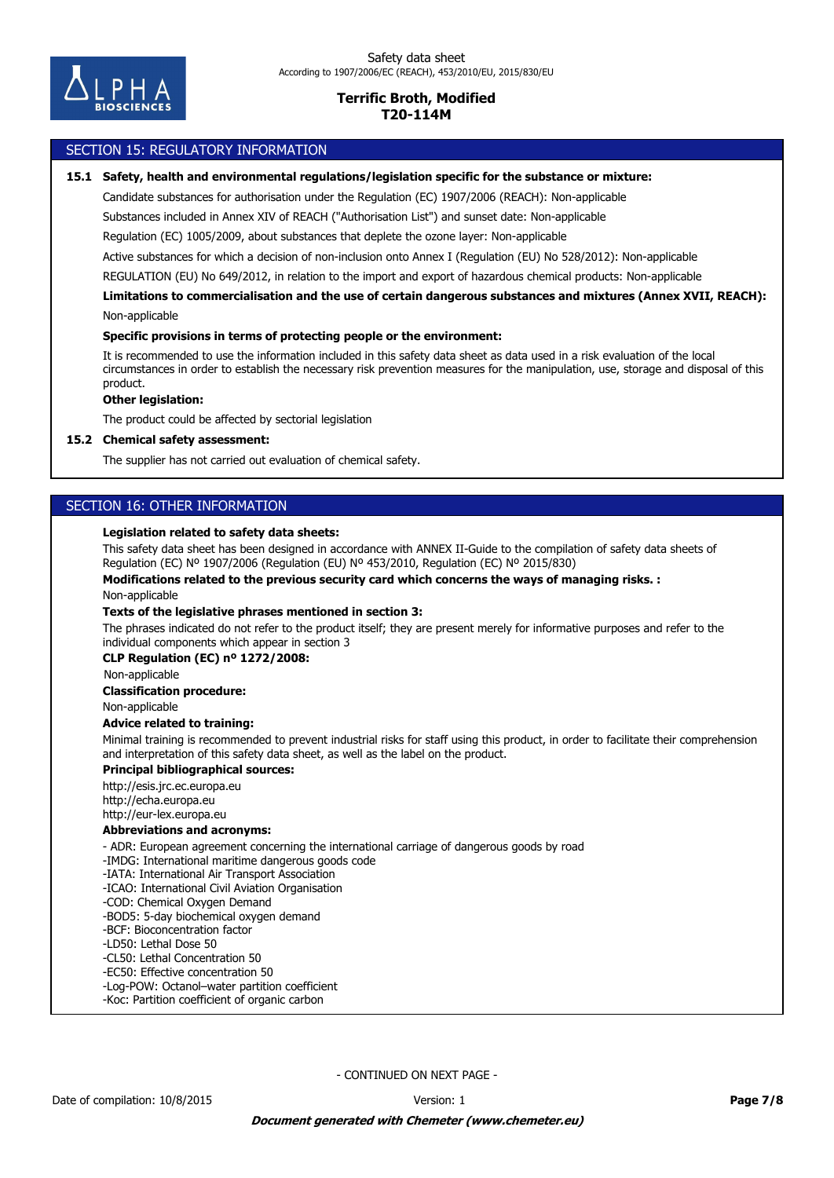

### SECTION 15: REGULATORY INFORMATION

#### **15.1 Safety, health and environmental regulations/legislation specific for the substance or mixture:**

Candidate substances for authorisation under the Regulation (EC) 1907/2006 (REACH): Non-applicable

Substances included in Annex XIV of REACH ("Authorisation List") and sunset date: Non-applicable

Regulation (EC) 1005/2009, about substances that deplete the ozone layer: Non-applicable

Active substances for which a decision of non-inclusion onto Annex I (Regulation (EU) No 528/2012): Non-applicable

REGULATION (EU) No 649/2012, in relation to the import and export of hazardous chemical products: Non-applicable

Non-applicable **Limitations to commercialisation and the use of certain dangerous substances and mixtures (Annex XVII, REACH):**

#### **Specific provisions in terms of protecting people or the environment:**

It is recommended to use the information included in this safety data sheet as data used in a risk evaluation of the local circumstances in order to establish the necessary risk prevention measures for the manipulation, use, storage and disposal of this product.

### **Other legislation:**

The product could be affected by sectorial legislation

#### **15.2 Chemical safety assessment:**

The supplier has not carried out evaluation of chemical safety.

# SECTION 16: OTHER INFORMATION

#### **Legislation related to safety data sheets:**

This safety data sheet has been designed in accordance with ANNEX II-Guide to the compilation of safety data sheets of Regulation (EC) Nº 1907/2006 (Regulation (EU) Nº 453/2010, Regulation (EC) Nº 2015/830)

**Modifications related to the previous security card which concerns the ways of managing risks. :**

Non-applicable

#### **Texts of the legislative phrases mentioned in section 3:**

The phrases indicated do not refer to the product itself; they are present merely for informative purposes and refer to the individual components which appear in section 3

#### **CLP Regulation (EC) nº 1272/2008:**

Non-applicable

#### **Classification procedure:**

Non-applicable

### **Advice related to training:**

Minimal training is recommended to prevent industrial risks for staff using this product, in order to facilitate their comprehension and interpretation of this safety data sheet, as well as the label on the product.

### **Principal bibliographical sources:**

http://esis.jrc.ec.europa.eu http://echa.europa.eu http://eur-lex.europa.eu

### **Abbreviations and acronyms:**

- ADR: European agreement concerning the international carriage of dangerous goods by road

- -IMDG: International maritime dangerous goods code
- -IATA: International Air Transport Association
- -ICAO: International Civil Aviation Organisation
- -COD: Chemical Oxygen Demand
- -BOD5: 5-day biochemical oxygen demand
- -BCF: Bioconcentration factor
- -LD50: Lethal Dose 50
- -CL50: Lethal Concentration 50
- -EC50: Effective concentration 50
- -Log-POW: Octanol–water partition coefficient
- -Koc: Partition coefficient of organic carbon